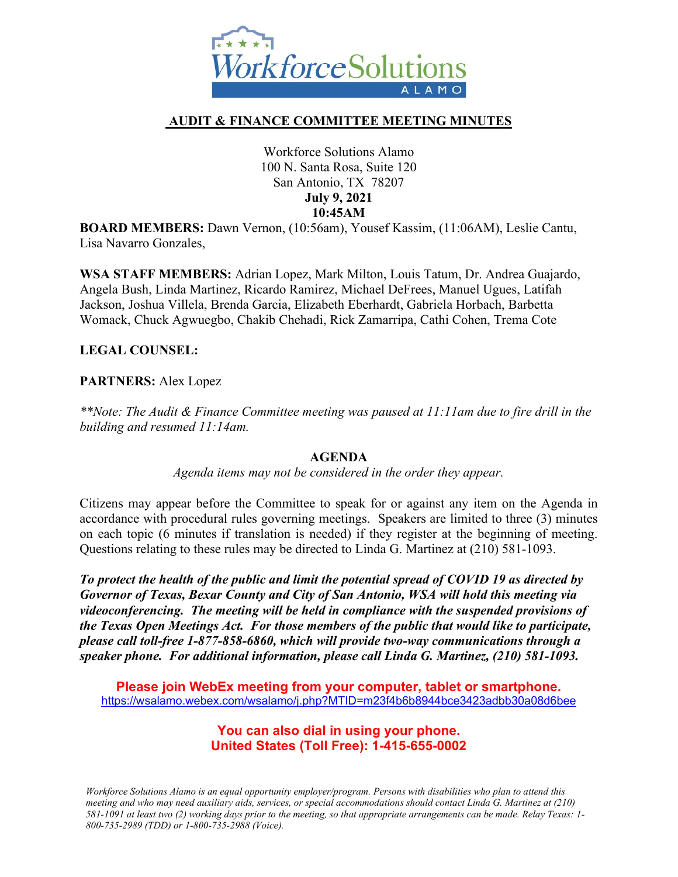

## **AUDIT & FINANCE COMMITTEE MEETING MINUTES**

Workforce Solutions Alamo 100 N. Santa Rosa, Suite 120 San Antonio, TX 78207 **July 9, 2021 10:45AM**

**BOARD MEMBERS:** Dawn Vernon, (10:56am), Yousef Kassim, (11:06AM), Leslie Cantu, Lisa Navarro Gonzales,

**WSA STAFF MEMBERS:** Adrian Lopez, Mark Milton, Louis Tatum, Dr. Andrea Guajardo, Angela Bush, Linda Martinez, Ricardo Ramirez, Michael DeFrees, Manuel Ugues, Latifah Jackson, Joshua Villela, Brenda Garcia, Elizabeth Eberhardt, Gabriela Horbach, Barbetta Womack, Chuck Agwuegbo, Chakib Chehadi, Rick Zamarripa, Cathi Cohen, Trema Cote

### **LEGAL COUNSEL:**

### **PARTNERS:** Alex Lopez

*\*\*Note: The Audit & Finance Committee meeting was paused at 11:11am due to fire drill in the building and resumed 11:14am.* 

#### **AGENDA**

*Agenda items may not be considered in the order they appear.*

Citizens may appear before the Committee to speak for or against any item on the Agenda in accordance with procedural rules governing meetings. Speakers are limited to three (3) minutes on each topic (6 minutes if translation is needed) if they register at the beginning of meeting. Questions relating to these rules may be directed to Linda G. Martinez at (210) 581-1093.

*To protect the health of the public and limit the potential spread of COVID 19 as directed by Governor of Texas, Bexar County and City of San Antonio, WSA will hold this meeting via videoconferencing. The meeting will be held in compliance with the suspended provisions of the Texas Open Meetings Act. For those members of the public that would like to participate, please call toll-free 1-877-858-6860, which will provide two-way communications through a speaker phone. For additional information, please call Linda G. Martinez, (210) 581-1093.* 

**Please join WebEx meeting from your computer, tablet or smartphone.**  <https://wsalamo.webex.com/wsalamo/j.php?MTID=m23f4b6b8944bce3423adbb30a08d6bee>

### **You can also dial in using your phone. United States (Toll Free): 1-415-655-0002**

*Workforce Solutions Alamo is an equal opportunity employer/program. Persons with disabilities who plan to attend this meeting and who may need auxiliary aids, services, or special accommodations should contact Linda G. Martinez at (210) 581-1091 at least two (2) working days prior to the meeting, so that appropriate arrangements can be made. Relay Texas: 1- 800-735-2989 (TDD) or 1-800-735-2988 (Voice).*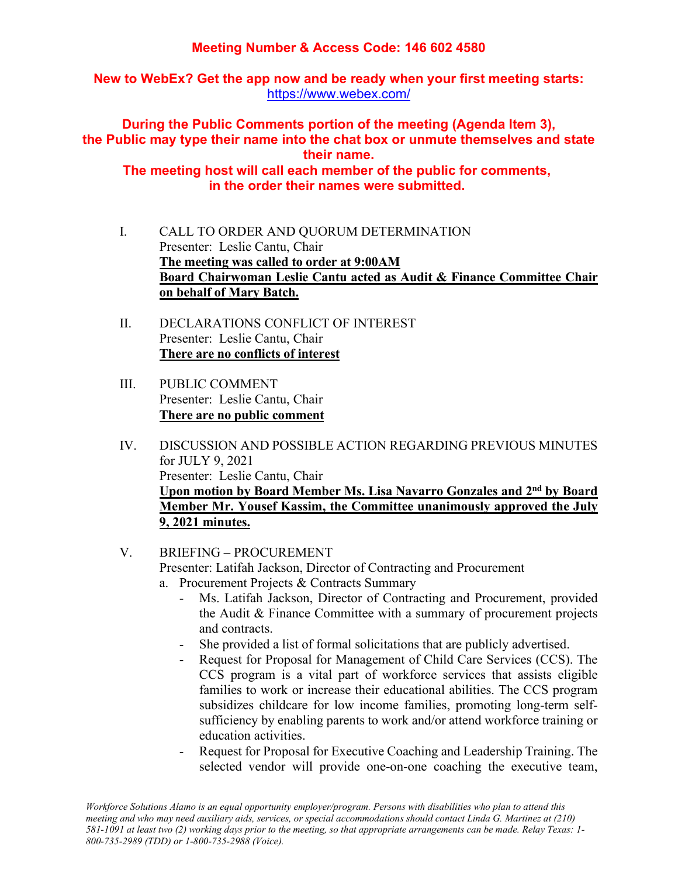# **Meeting Number & Access Code: 146 602 4580**

**New to WebEx? Get the app now and be ready when your first meeting starts:**  <https://www.webex.com/>

**During the Public Comments portion of the meeting (Agenda Item 3), the Public may type their name into the chat box or unmute themselves and state their name.**

**The meeting host will call each member of the public for comments, in the order their names were submitted.**

- I. CALL TO ORDER AND QUORUM DETERMINATION Presenter: Leslie Cantu, Chair **The meeting was called to order at 9:00AM Board Chairwoman Leslie Cantu acted as Audit & Finance Committee Chair on behalf of Mary Batch.**
- II. DECLARATIONS CONFLICT OF INTEREST Presenter: Leslie Cantu, Chair **There are no conflicts of interest**
- III. PUBLIC COMMENT Presenter: Leslie Cantu, Chair **There are no public comment**
- IV. DISCUSSION AND POSSIBLE ACTION REGARDING PREVIOUS MINUTES for JULY 9, 2021 Presenter: Leslie Cantu, Chair **Upon motion by Board Member Ms. Lisa Navarro Gonzales and 2nd by Board Member Mr. Yousef Kassim, the Committee unanimously approved the July 9, 2021 minutes.**
- V. BRIEFING PROCUREMENT Presenter: Latifah Jackson, Director of Contracting and Procurement a. Procurement Projects & Contracts Summary
	- Ms. Latifah Jackson, Director of Contracting and Procurement, provided the Audit & Finance Committee with a summary of procurement projects and contracts.
	- She provided a list of formal solicitations that are publicly advertised.
	- Request for Proposal for Management of Child Care Services (CCS). The CCS program is a vital part of workforce services that assists eligible families to work or increase their educational abilities. The CCS program subsidizes childcare for low income families, promoting long-term selfsufficiency by enabling parents to work and/or attend workforce training or education activities.
	- Request for Proposal for Executive Coaching and Leadership Training. The selected vendor will provide one-on-one coaching the executive team,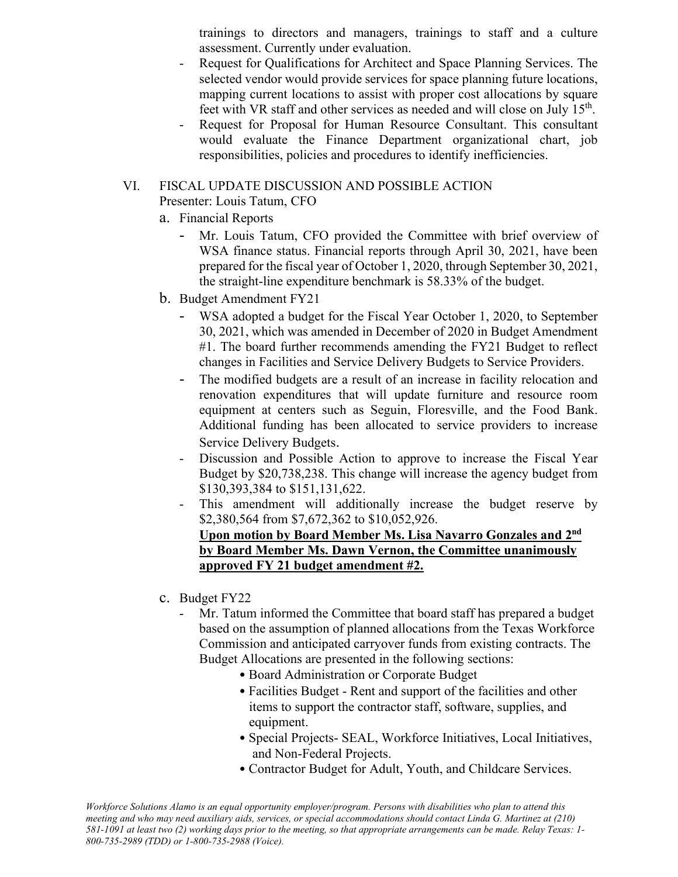trainings to directors and managers, trainings to staff and a culture assessment. Currently under evaluation.

- Request for Qualifications for Architect and Space Planning Services. The selected vendor would provide services for space planning future locations, mapping current locations to assist with proper cost allocations by square feet with VR staff and other services as needed and will close on July 15<sup>th</sup>.
- Request for Proposal for Human Resource Consultant. This consultant would evaluate the Finance Department organizational chart, job responsibilities, policies and procedures to identify inefficiencies.

#### VI. FISCAL UPDATE DISCUSSION AND POSSIBLE ACTION Presenter: Louis Tatum, CFO

- a. Financial Reports
	- Mr. Louis Tatum, CFO provided the Committee with brief overview of WSA finance status. Financial reports through April 30, 2021, have been prepared for the fiscal year of October 1, 2020, through September 30, 2021, the straight-line expenditure benchmark is 58.33% of the budget.
- b. Budget Amendment FY21
	- WSA adopted a budget for the Fiscal Year October 1, 2020, to September 30, 2021, which was amended in December of 2020 in Budget Amendment #1. The board further recommends amending the FY21 Budget to reflect changes in Facilities and Service Delivery Budgets to Service Providers.
	- The modified budgets are a result of an increase in facility relocation and renovation expenditures that will update furniture and resource room equipment at centers such as Seguin, Floresville, and the Food Bank. Additional funding has been allocated to service providers to increase Service Delivery Budgets.
	- Discussion and Possible Action to approve to increase the Fiscal Year Budget by \$20,738,238. This change will increase the agency budget from \$130,393,384 to \$151,131,622.
	- This amendment will additionally increase the budget reserve by \$2,380,564 from \$7,672,362 to \$10,052,926. **Upon motion by Board Member Ms. Lisa Navarro Gonzales and 2nd by Board Member Ms. Dawn Vernon, the Committee unanimously approved FY 21 budget amendment #2.**
- c. Budget FY22
	- Mr. Tatum informed the Committee that board staff has prepared a budget based on the assumption of planned allocations from the Texas Workforce Commission and anticipated carryover funds from existing contracts. The Budget Allocations are presented in the following sections:
		- Board Administration or Corporate Budget
		- Facilities Budget Rent and support of the facilities and other items to support the contractor staff, software, supplies, and equipment.
		- Special Projects- SEAL, Workforce Initiatives, Local Initiatives, and Non-Federal Projects.
		- Contractor Budget for Adult, Youth, and Childcare Services.